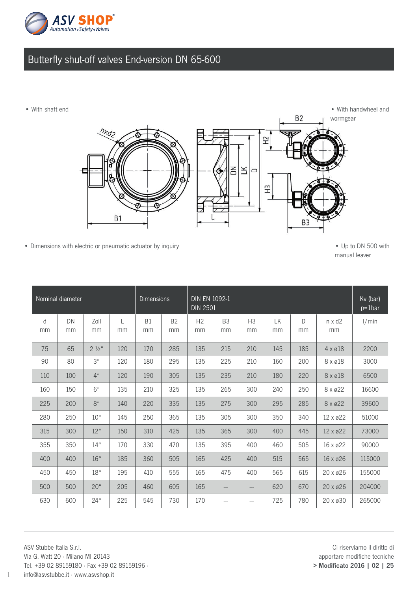

## Butterfly shut-off valves End-version DN 65-600

• With shaft end



• Dimensions with electric or pneumatic actuator by inquiry example of the state of the Up to DN 500 with

manual leaver

| Nominal diameter |          |                  |         | <b>Dimensions</b> |                 | <b>DIN EN 1092-1</b><br><b>DIN 2501</b> |                      |                      |          |         |                     | Kv (bar)<br>$p = 1$ bar |
|------------------|----------|------------------|---------|-------------------|-----------------|-----------------------------------------|----------------------|----------------------|----------|---------|---------------------|-------------------------|
| d<br>mm          | DN<br>mm | Zoll<br>mm       | L<br>mm | <b>B1</b><br>mm   | <b>B2</b><br>mm | H2<br>mm                                | B <sub>3</sub><br>mm | H <sub>3</sub><br>mm | LK<br>mm | D<br>mm | $n \times d2$<br>mm | 1/min                   |
| 75               | 65       | $2\frac{1}{2}$ " | 120     | 170               | 285             | 135                                     | 215                  | 210                  | 145      | 185     | $4 \times 218$      | 2200                    |
| 90               | 80       | 3 <sup>ii</sup>  | 120     | 180               | 295             | 135                                     | 225                  | 210                  | 160      | 200     | 8 x ø18             | 3000                    |
| 110              | 100      | 4 <sup>u</sup>   | 120     | 190               | 305             | 135                                     | 235                  | 210                  | 180      | 220     | 8 x ø18             | 6500                    |
| 160              | 150      | 6 <sup>4</sup>   | 135     | 210               | 325             | 135                                     | 265                  | 300                  | 240      | 250     | 8 x ø22             | 16600                   |
| 225              | 200      | 8 <sup>u</sup>   | 140     | 220               | 335             | 135                                     | 275                  | 300                  | 295      | 285     | 8 x ø22             | 39600                   |
| 280              | 250      | 10 <sup>u</sup>  | 145     | 250               | 365             | 135                                     | 305                  | 300                  | 350      | 340     | 12 x ø22            | 51000                   |
| 315              | 300      | 12"              | 150     | 310               | 425             | 135                                     | 365                  | 300                  | 400      | 445     | $12 \times 22$      | 73000                   |
| 355              | 350      | $14$ "           | 170     | 330               | 470             | 135                                     | 395                  | 400                  | 460      | 505     | 16 x ø22            | 90000                   |
| 400              | 400      | 16 <sup>u</sup>  | 185     | 360               | 505             | 165                                     | 425                  | 400                  | 515      | 565     | 16 x ø26            | 115000                  |
| 450              | 450      | 18"              | 195     | 410               | 555             | 165                                     | 475                  | 400                  | 565      | 615     | $20 \times 26$      | 155000                  |
| 500              | 500      | 20 <sup>u</sup>  | 205     | 460               | 605             | 165                                     |                      | ---                  | 620      | 670     | 20 x ø26            | 204000                  |
| 630              | 600      | $24$ "           | 225     | 545               | 730             | 170                                     |                      |                      | 725      | 780     | 20 x ø30            | 265000                  |

ASV Stubbe Italia S.r.l. Via G. Watt 20 · Milano MI 20143 Tel. +39 02 89159180 · Fax +39 02 89159196 ·